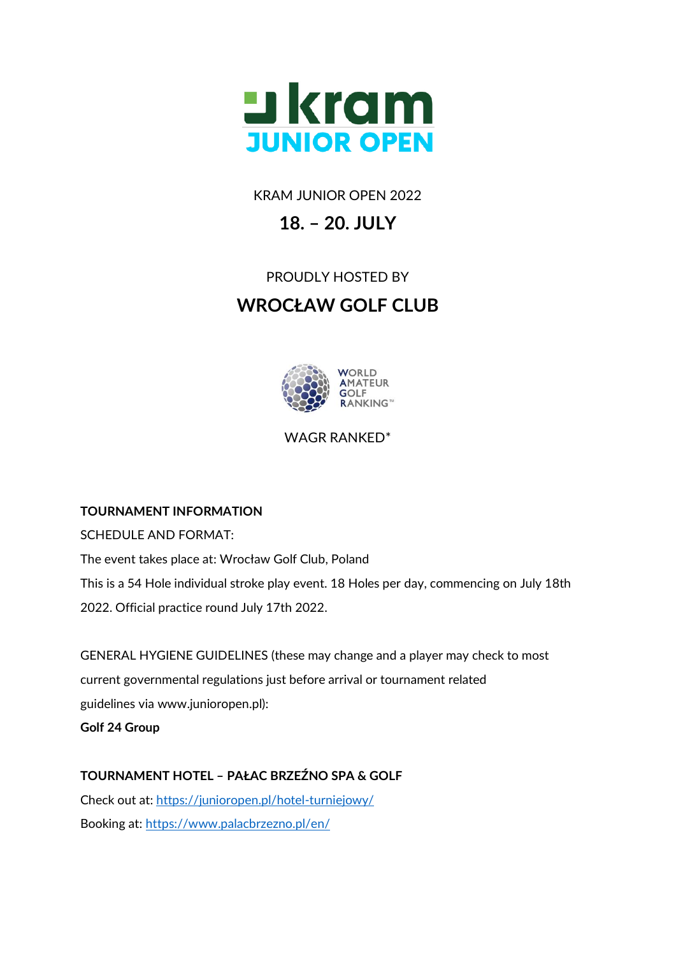

KRAM JUNIOR OPEN 2022

# **18. – 20. JULY**

## PROUDLY HOSTED BY

# **WROCŁAW GOLF CLUB**



WAGR RANKED\*

### **TOURNAMENT INFORMATION**

SCHEDULE AND FORMAT:

The event takes place at: Wrocław Golf Club, Poland This is a 54 Hole individual stroke play event. 18 Holes per day, commencing on July 18th 2022. Official practice round July 17th 2022.

GENERAL HYGIENE GUIDELINES (these may change and a player may check to most current governmental regulations just before arrival or tournament related guidelines via www.junioropen.pl): **Golf 24 Group** 

## **TOURNAMENT HOTEL – PAŁAC BRZEŹNO SPA & GOLF**

Check out at: <https://junioropen.pl/hotel-turniejowy/> Booking at:<https://www.palacbrzezno.pl/en/>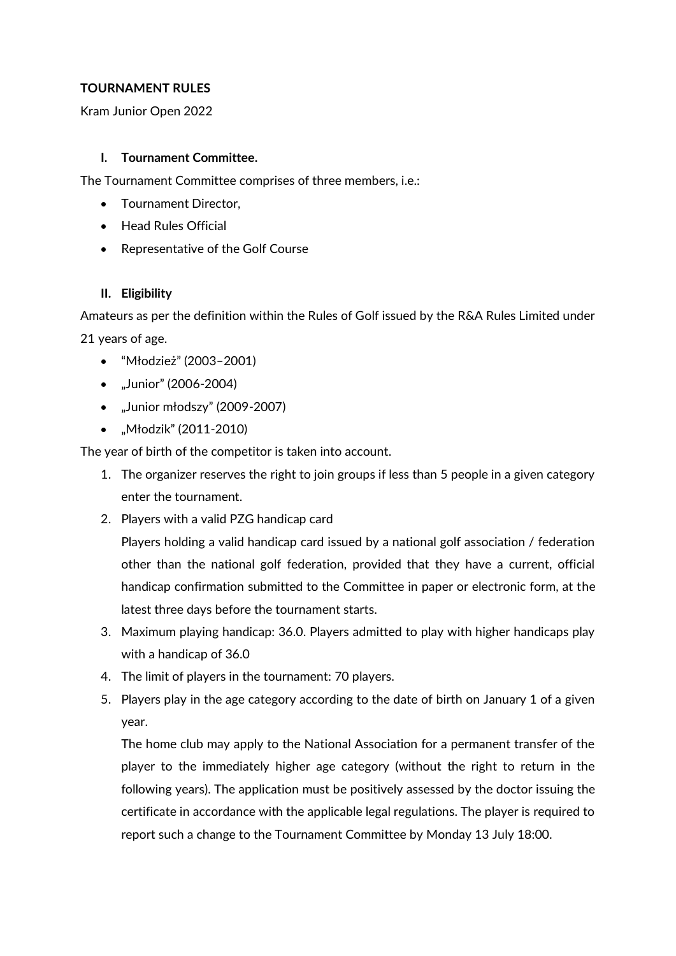### **TOURNAMENT RULES**

Kram Junior Open 2022

#### **I. Tournament Committee.**

The Tournament Committee comprises of three members, i.e.:

- Tournament Director,
- Head Rules Official
- Representative of the Golf Course

#### **II. Eligibility**

Amateurs as per the definition within the Rules of Golf issued by the R&A Rules Limited under 21 years of age.

- "Młodzież" (2003–2001)
- "Junior" (2006-2004)
- "Junior młodszy" (2009-2007)
- "Młodzik" (2011-2010)

The year of birth of the competitor is taken into account.

- 1. The organizer reserves the right to join groups if less than 5 people in a given category enter the tournament.
- 2. Players with a valid PZG handicap card

Players holding a valid handicap card issued by a national golf association / federation other than the national golf federation, provided that they have a current, official handicap confirmation submitted to the Committee in paper or electronic form, at the latest three days before the tournament starts.

- 3. Maximum playing handicap: 36.0. Players admitted to play with higher handicaps play with a handicap of 36.0
- 4. The limit of players in the tournament: 70 players.
- 5. Players play in the age category according to the date of birth on January 1 of a given year.

The home club may apply to the National Association for a permanent transfer of the player to the immediately higher age category (without the right to return in the following years). The application must be positively assessed by the doctor issuing the certificate in accordance with the applicable legal regulations. The player is required to report such a change to the Tournament Committee by Monday 13 July 18:00.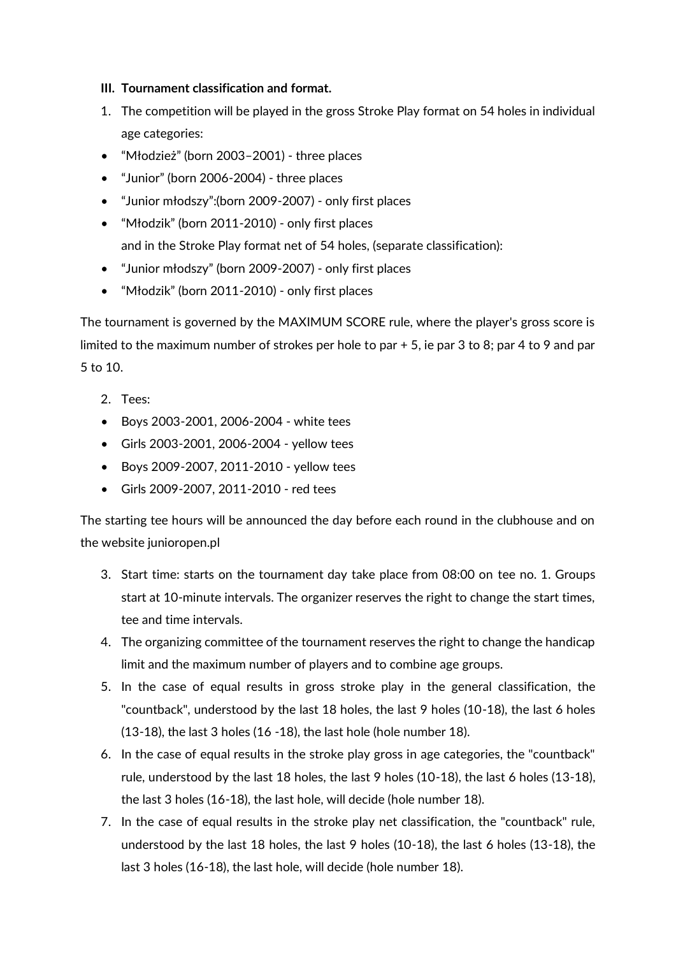#### **III. Tournament classification and format.**

- 1. The competition will be played in the gross Stroke Play format on 54 holes in individual age categories:
- "Młodzież" (born 2003–2001) three places
- "Junior" (born 2006-2004) three places
- "Junior młodszy":(born 2009-2007) only first places
- "Młodzik" (born 2011-2010) only first places and in the Stroke Play format net of 54 holes, (separate classification):
- "Junior młodszy" (born 2009-2007) only first places
- "Młodzik" (born 2011-2010) only first places

The tournament is governed by the MAXIMUM SCORE rule, where the player's gross score is limited to the maximum number of strokes per hole to par + 5, ie par 3 to 8; par 4 to 9 and par 5 to 10.

- 2. Tees:
- Boys 2003-2001, 2006-2004 white tees
- Girls 2003-2001, 2006-2004 yellow tees
- Boys 2009-2007, 2011-2010 yellow tees
- Girls 2009-2007, 2011-2010 red tees

The starting tee hours will be announced the day before each round in the clubhouse and on the website junioropen.pl

- 3. Start time: starts on the tournament day take place from 08:00 on tee no. 1. Groups start at 10-minute intervals. The organizer reserves the right to change the start times, tee and time intervals.
- 4. The organizing committee of the tournament reserves the right to change the handicap limit and the maximum number of players and to combine age groups.
- 5. In the case of equal results in gross stroke play in the general classification, the "countback", understood by the last 18 holes, the last 9 holes (10-18), the last 6 holes (13-18), the last 3 holes (16 -18), the last hole (hole number 18).
- 6. In the case of equal results in the stroke play gross in age categories, the "countback" rule, understood by the last 18 holes, the last 9 holes (10-18), the last 6 holes (13-18), the last 3 holes (16-18), the last hole, will decide (hole number 18).
- 7. In the case of equal results in the stroke play net classification, the "countback" rule, understood by the last 18 holes, the last 9 holes (10-18), the last 6 holes (13-18), the last 3 holes (16-18), the last hole, will decide (hole number 18).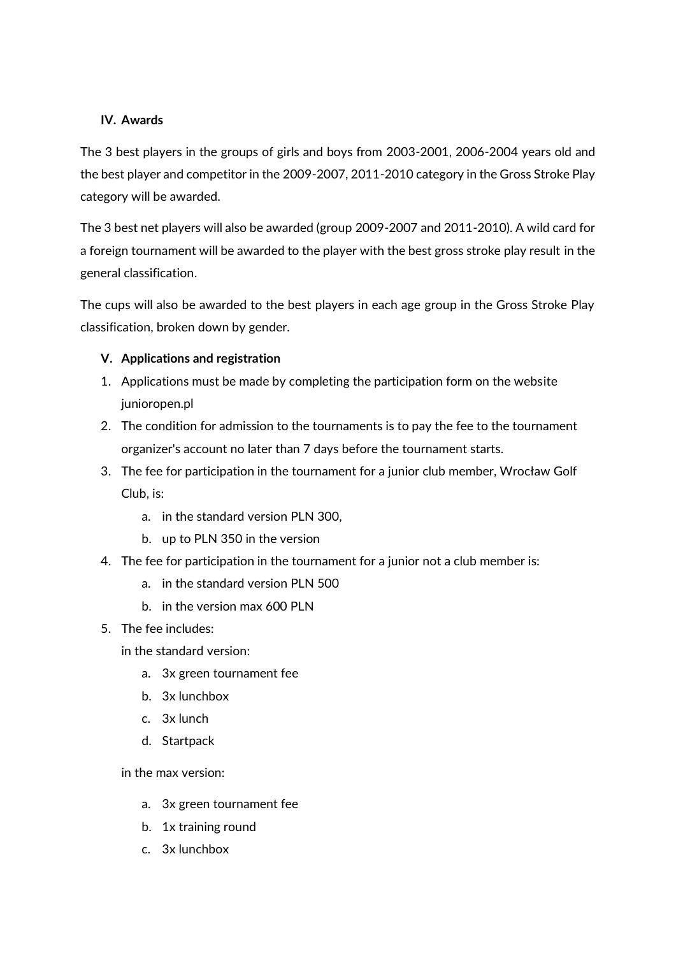#### **IV. Awards**

The 3 best players in the groups of girls and boys from 2003-2001, 2006-2004 years old and the best player and competitor in the 2009-2007, 2011-2010 category in the Gross Stroke Play category will be awarded.

The 3 best net players will also be awarded (group 2009-2007 and 2011-2010). A wild card for a foreign tournament will be awarded to the player with the best gross stroke play result in the general classification.

The cups will also be awarded to the best players in each age group in the Gross Stroke Play classification, broken down by gender.

#### **V. Applications and registration**

- 1. Applications must be made by completing the participation form on the website junioropen.pl
- 2. The condition for admission to the tournaments is to pay the fee to the tournament organizer's account no later than 7 days before the tournament starts.
- 3. The fee for participation in the tournament for a junior club member, Wrocław Golf Club, is:
	- a. in the standard version PLN 300,
	- b. up to PLN 350 in the version
- 4. The fee for participation in the tournament for a junior not a club member is:
	- a. in the standard version PLN 500
	- b. in the version max 600 PLN
- 5. The fee includes:
	- in the standard version:
		- a. 3x green tournament fee
		- b. 3x lunchbox
		- c. 3x lunch
		- d. Startpack

in the max version:

- a. 3x green tournament fee
- b. 1x training round
- c. 3x lunchbox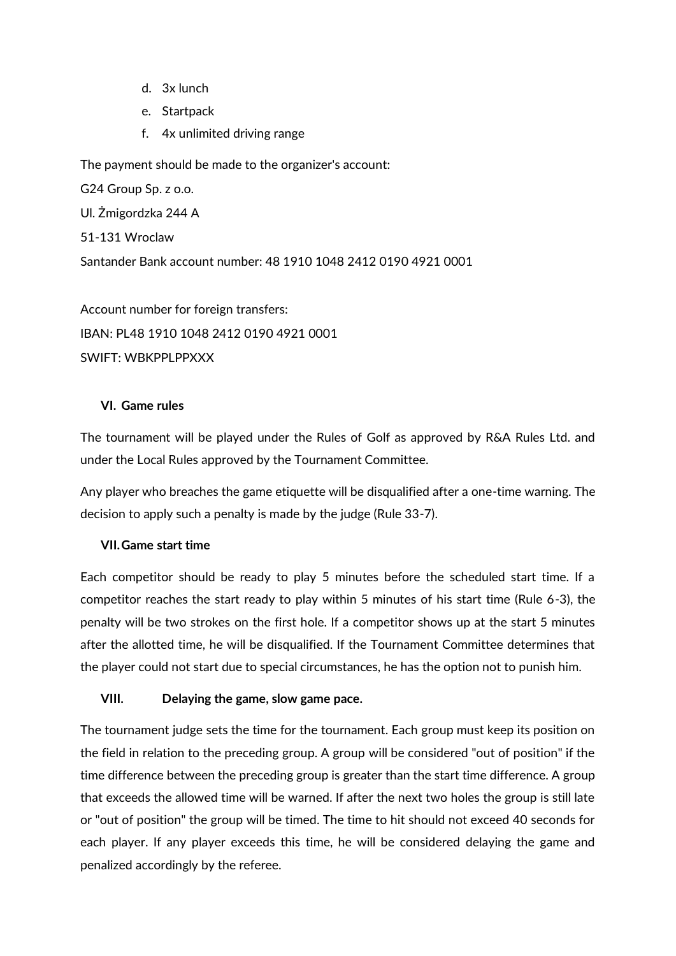- d. 3x lunch
- e. Startpack
- f. 4x unlimited driving range

The payment should be made to the organizer's account:

G24 Group Sp. z o.o. Ul. Żmigordzka 244 A 51-131 Wroclaw Santander Bank account number: 48 1910 1048 2412 0190 4921 0001

Account number for foreign transfers: IBAN: PL48 1910 1048 2412 0190 4921 0001 SWIFT: WRKPPI PPXXX

#### **VI. Game rules**

The tournament will be played under the Rules of Golf as approved by R&A Rules Ltd. and under the Local Rules approved by the Tournament Committee.

Any player who breaches the game etiquette will be disqualified after a one-time warning. The decision to apply such a penalty is made by the judge (Rule 33-7).

#### **VII.Game start time**

Each competitor should be ready to play 5 minutes before the scheduled start time. If a competitor reaches the start ready to play within 5 minutes of his start time (Rule 6-3), the penalty will be two strokes on the first hole. If a competitor shows up at the start 5 minutes after the allotted time, he will be disqualified. If the Tournament Committee determines that the player could not start due to special circumstances, he has the option not to punish him.

#### **VIII. Delaying the game, slow game pace.**

The tournament judge sets the time for the tournament. Each group must keep its position on the field in relation to the preceding group. A group will be considered "out of position" if the time difference between the preceding group is greater than the start time difference. A group that exceeds the allowed time will be warned. If after the next two holes the group is still late or "out of position" the group will be timed. The time to hit should not exceed 40 seconds for each player. If any player exceeds this time, he will be considered delaying the game and penalized accordingly by the referee.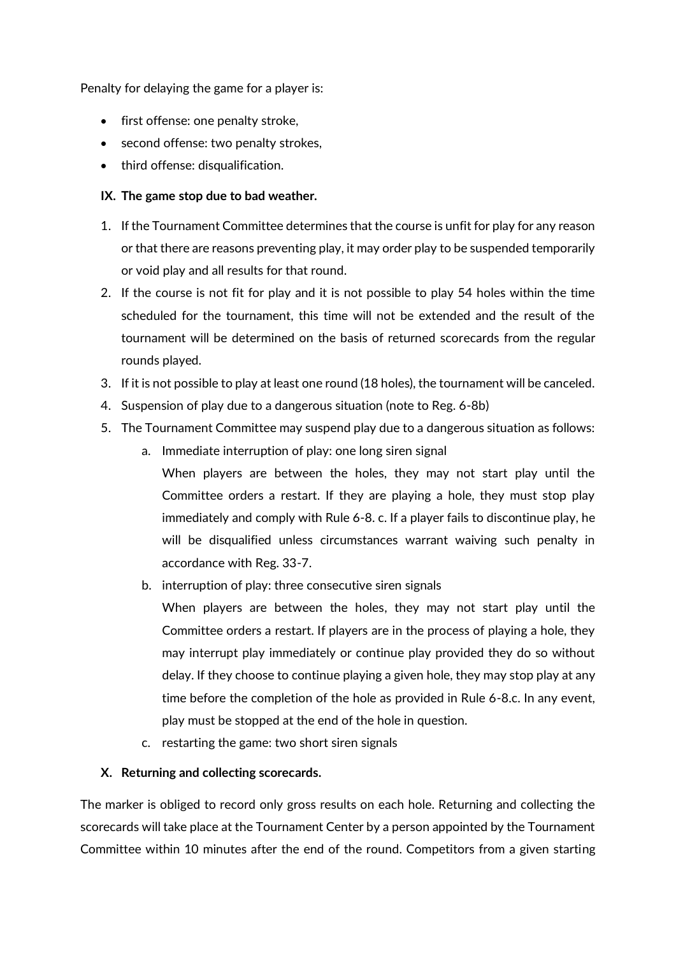Penalty for delaying the game for a player is:

- first offense: one penalty stroke,
- second offense: two penalty strokes,
- third offense: disqualification.

#### **IX. The game stop due to bad weather.**

- 1. If the Tournament Committee determines that the course is unfit for play for any reason or that there are reasons preventing play, it may order play to be suspended temporarily or void play and all results for that round.
- 2. If the course is not fit for play and it is not possible to play 54 holes within the time scheduled for the tournament, this time will not be extended and the result of the tournament will be determined on the basis of returned scorecards from the regular rounds played.
- 3. If it is not possible to play at least one round (18 holes), the tournament will be canceled.
- 4. Suspension of play due to a dangerous situation (note to Reg. 6-8b)
- 5. The Tournament Committee may suspend play due to a dangerous situation as follows:
	- a. Immediate interruption of play: one long siren signal

When players are between the holes, they may not start play until the Committee orders a restart. If they are playing a hole, they must stop play immediately and comply with Rule 6-8. c. If a player fails to discontinue play, he will be disqualified unless circumstances warrant waiving such penalty in accordance with Reg. 33-7.

- b. interruption of play: three consecutive siren signals
	- When players are between the holes, they may not start play until the Committee orders a restart. If players are in the process of playing a hole, they may interrupt play immediately or continue play provided they do so without delay. If they choose to continue playing a given hole, they may stop play at any time before the completion of the hole as provided in Rule 6-8.c. In any event, play must be stopped at the end of the hole in question.
- c. restarting the game: two short siren signals

#### **X. Returning and collecting scorecards.**

The marker is obliged to record only gross results on each hole. Returning and collecting the scorecards will take place at the Tournament Center by a person appointed by the Tournament Committee within 10 minutes after the end of the round. Competitors from a given starting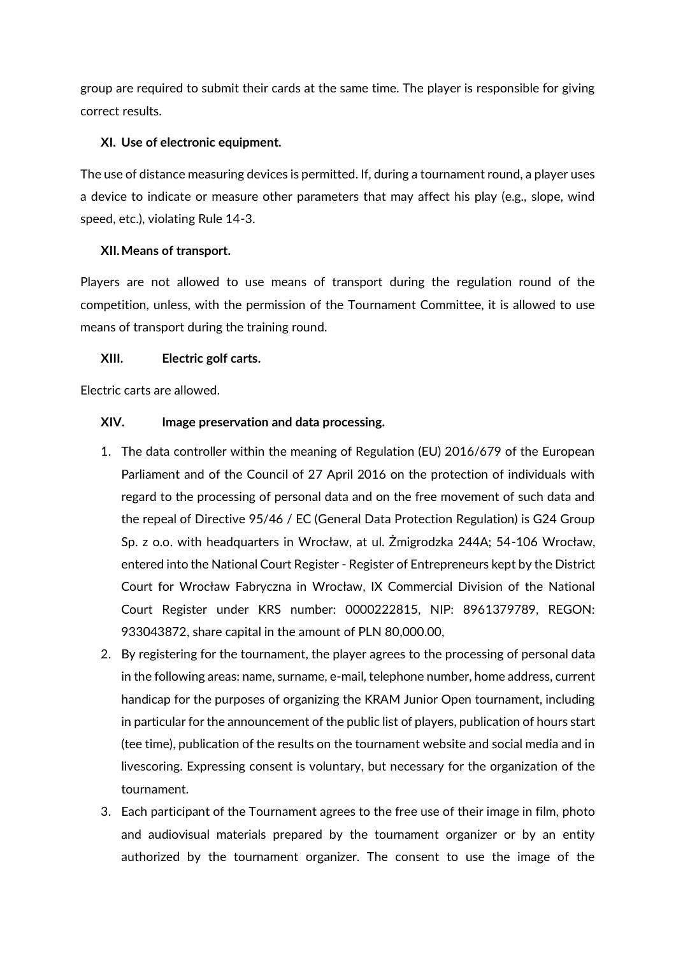group are required to submit their cards at the same time. The player is responsible for giving correct results.

#### **XI. Use of electronic equipment.**

The use of distance measuring devices is permitted. If, during a tournament round, a player uses a device to indicate or measure other parameters that may affect his play (e.g., slope, wind speed, etc.), violating Rule 14-3.

#### **XII.Means of transport.**

Players are not allowed to use means of transport during the regulation round of the competition, unless, with the permission of the Tournament Committee, it is allowed to use means of transport during the training round.

#### **XIII. Electric golf carts.**

Electric carts are allowed.

#### **XIV. Image preservation and data processing.**

- 1. The data controller within the meaning of Regulation (EU) 2016/679 of the European Parliament and of the Council of 27 April 2016 on the protection of individuals with regard to the processing of personal data and on the free movement of such data and the repeal of Directive 95/46 / EC (General Data Protection Regulation) is G24 Group Sp. z o.o. with headquarters in Wrocław, at ul. Żmigrodzka 244A; 54-106 Wrocław, entered into the National Court Register - Register of Entrepreneurs kept by the District Court for Wrocław Fabryczna in Wrocław, IX Commercial Division of the National Court Register under KRS number: 0000222815, NIP: 8961379789, REGON: 933043872, share capital in the amount of PLN 80,000.00,
- 2. By registering for the tournament, the player agrees to the processing of personal data in the following areas: name, surname, e-mail, telephone number, home address, current handicap for the purposes of organizing the KRAM Junior Open tournament, including in particular for the announcement of the public list of players, publication of hours start (tee time), publication of the results on the tournament website and social media and in livescoring. Expressing consent is voluntary, but necessary for the organization of the tournament.
- 3. Each participant of the Tournament agrees to the free use of their image in film, photo and audiovisual materials prepared by the tournament organizer or by an entity authorized by the tournament organizer. The consent to use the image of the